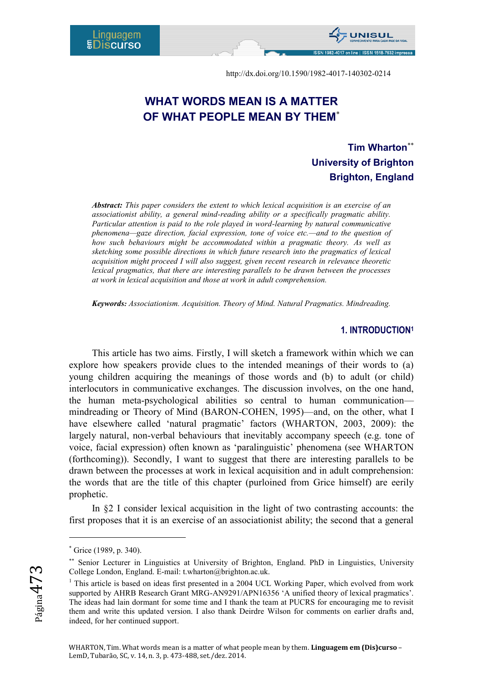

http://dx.doi.org/10.1590/1982-4017-140302-0214

# **WHAT WORDS MEAN IS A MATTER OF WHAT PEOPLE MEAN BY THEM**

**Tim Wharton University of Brighton Brighton, England**

**UNISUL** 

*Abstract: This paper considers the extent to which lexical acquisition is an exercise of an associationist ability, a general mind-reading ability or a specifically pragmatic ability. Particular attention is paid to the role played in word-learning by natural communicative phenomena—gaze direction, facial expression, tone of voice etc.—and to the question of how such behaviours might be accommodated within a pragmatic theory. As well as sketching some possible directions in which future research into the pragmatics of lexical acquisition might proceed I will also suggest, given recent research in relevance theoretic lexical pragmatics, that there are interesting parallels to be drawn between the processes at work in lexical acquisition and those at work in adult comprehension.*

*Keywords: Associationism. Acquisition. Theory of Mind. Natural Pragmatics. Mindreading.*

#### **1. INTRODUCTION<sup>1</sup>**

This article has two aims. Firstly, I will sketch a framework within which we can explore how speakers provide clues to the intended meanings of their words to (a) young children acquiring the meanings of those words and (b) to adult (or child) interlocutors in communicative exchanges. The discussion involves, on the one hand, the human meta-psychological abilities so central to human communication mindreading or Theory of Mind (BARON-COHEN, 1995)—and, on the other, what I have elsewhere called 'natural pragmatic' factors (WHARTON, 2003, 2009): the largely natural, non-verbal behaviours that inevitably accompany speech (e.g. tone of voice, facial expression) often known as 'paralinguistic' phenomena (see WHARTON (forthcoming)). Secondly, I want to suggest that there are interesting parallels to be drawn between the processes at work in lexical acquisition and in adult comprehension: the words that are the title of this chapter (purloined from Grice himself) are eerily prophetic.

In §2 I consider lexical acquisition in the light of two contrasting accounts: the first proposes that it is an exercise of an associationist ability; the second that a general

1

 $*$  Grice (1989, p. 340).

<sup>\*\*</sup> Senior Lecturer in Linguistics at University of Brighton, England. PhD in Linguistics, University College London, England. E-mail: t.wharton@brighton.ac.uk.

College London, England. E-mail: t.wharton@brighton<br>
<sup>1</sup> This article is based on ideas first presented in a 200<br>
supported by AHRB Research Grant MRG-AN9291/*F*<br>
The ideas had lain dormant for some time and I thank<br>
them <sup>1</sup> This article is based on ideas first presented in a 2004 UCL Working Paper, which evolved from work supported by AHRB Research Grant MRG-AN9291/APN16356 'A unified theory of lexical pragmatics'. The ideas had lain dormant for some time and I thank the team at PUCRS for encouraging me to revisit them and write this updated version. I also thank Deirdre Wilson for comments on earlier drafts and, indeed, for her continued support.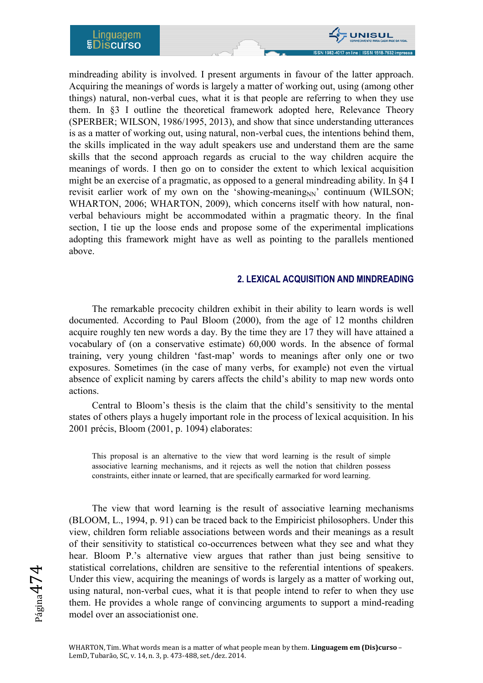

mindreading ability is involved. I present arguments in favour of the latter approach. Acquiring the meanings of words is largely a matter of working out, using (among other things) natural, non-verbal cues, what it is that people are referring to when they use them. In §3 I outline the theoretical framework adopted here, Relevance Theory (SPERBER; WILSON, 1986/1995, 2013), and show that since understanding utterances is as a matter of working out, using natural, non-verbal cues, the intentions behind them, the skills implicated in the way adult speakers use and understand them are the same skills that the second approach regards as crucial to the way children acquire the meanings of words. I then go on to consider the extent to which lexical acquisition might be an exercise of a pragmatic, as opposed to a general mindreading ability. In §4 I revisit earlier work of my own on the 'showing-meaning<sub>NN</sub>' continuum (WILSON; WHARTON, 2006; WHARTON, 2009), which concerns itself with how natural, nonverbal behaviours might be accommodated within a pragmatic theory. In the final section, I tie up the loose ends and propose some of the experimental implications adopting this framework might have as well as pointing to the parallels mentioned above.

## **2. LEXICAL ACQUISITION AND MINDREADING**

**UNISUL** 

The remarkable precocity children exhibit in their ability to learn words is well documented. According to Paul Bloom (2000), from the age of 12 months children acquire roughly ten new words a day. By the time they are 17 they will have attained a vocabulary of (on a conservative estimate) 60,000 words. In the absence of formal training, very young children 'fast-map' words to meanings after only one or two exposures. Sometimes (in the case of many verbs, for example) not even the virtual absence of explicit naming by carers affects the child's ability to map new words onto actions.

Central to Bloom's thesis is the claim that the child's sensitivity to the mental states of others plays a hugely important role in the process of lexical acquisition. In his 2001 précis, Bloom (2001, p. 1094) elaborates:

This proposal is an alternative to the view that word learning is the result of simple associative learning mechanisms, and it rejects as well the notion that children possess constraints, either innate or learned, that are specifically earmarked for word learning.

Statistical correlations, children are sensitive<br>
Under this view, acquiring the meanings of v<br>
using natural, non-verbal cues, what it is the<br>
them. He provides a whole range of convin-<br>
model over an associationist one.<br> The view that word learning is the result of associative learning mechanisms (BLOOM, L., 1994, p. 91) can be traced back to the Empiricist philosophers. Under this view, children form reliable associations between words and their meanings as a result of their sensitivity to statistical co-occurrences between what they see and what they hear. Bloom P.'s alternative view argues that rather than just being sensitive to statistical correlations, children are sensitive to the referential intentions of speakers. Under this view, acquiring the meanings of words is largely as a matter of working out, using natural, non-verbal cues, what it is that people intend to refer to when they use them. He provides a whole range of convincing arguments to support a mind-reading model over an associationist one.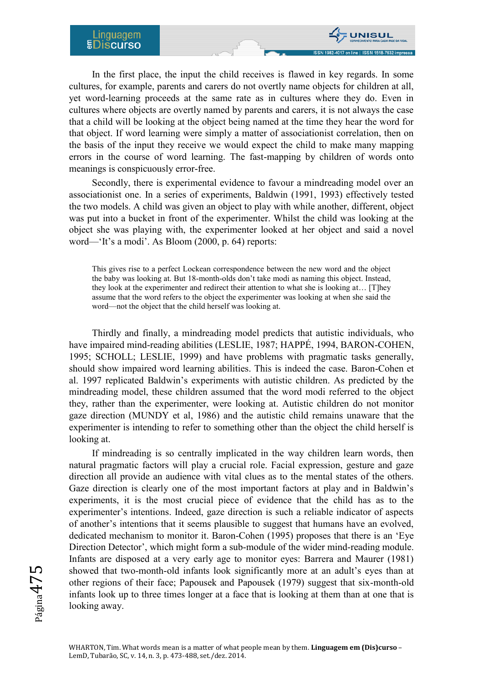In the first place, the input the child receives is flawed in key regards. In some cultures, for example, parents and carers do not overtly name objects for children at all, yet word-learning proceeds at the same rate as in cultures where they do. Even in cultures where objects are overtly named by parents and carers, it is not always the case that a child will be looking at the object being named at the time they hear the word for that object. If word learning were simply a matter of associationist correlation, then on the basis of the input they receive we would expect the child to make many mapping errors in the course of word learning. The fast-mapping by children of words onto meanings is conspicuously error-free.

**UNISUL** 

Secondly, there is experimental evidence to favour a mindreading model over an associationist one. In a series of experiments, Baldwin (1991, 1993) effectively tested the two models. A child was given an object to play with while another, different, object was put into a bucket in front of the experimenter. Whilst the child was looking at the object she was playing with, the experimenter looked at her object and said a novel word—'It's a modi'. As Bloom (2000, p. 64) reports:

This gives rise to a perfect Lockean correspondence between the new word and the object the baby was looking at. But 18-month-olds don't take modi as naming this object. Instead, they look at the experimenter and redirect their attention to what she is looking at… [T]hey assume that the word refers to the object the experimenter was looking at when she said the word—not the object that the child herself was looking at.

Thirdly and finally, a mindreading model predicts that autistic individuals, who have impaired mind-reading abilities (LESLIE, 1987; HAPPÉ, 1994, BARON-COHEN, 1995; SCHOLL; LESLIE, 1999) and have problems with pragmatic tasks generally, should show impaired word learning abilities. This is indeed the case. Baron-Cohen et al. 1997 replicated Baldwin's experiments with autistic children. As predicted by the mindreading model, these children assumed that the word modi referred to the object they, rather than the experimenter, were looking at. Autistic children do not monitor gaze direction (MUNDY et al, 1986) and the autistic child remains unaware that the experimenter is intending to refer to something other than the object the child herself is looking at.

Showed that two-month-old infants look signature their face; Papousek and Pa infants look up to three times longer at a face looking away.<br>
Nooking away.<br>
WHARTON, Tim. What words mean is a matter of what p<br>
LemD, Tubarão, If mindreading is so centrally implicated in the way children learn words, then natural pragmatic factors will play a crucial role. Facial expression, gesture and gaze direction all provide an audience with vital clues as to the mental states of the others. Gaze direction is clearly one of the most important factors at play and in Baldwin's experiments, it is the most crucial piece of evidence that the child has as to the experimenter's intentions. Indeed, gaze direction is such a reliable indicator of aspects of another's intentions that it seems plausible to suggest that humans have an evolved, dedicated mechanism to monitor it. Baron-Cohen (1995) proposes that there is an 'Eye Direction Detector', which might form a sub-module of the wider mind-reading module. Infants are disposed at a very early age to monitor eyes: Barrera and Maurer (1981) showed that two-month-old infants look significantly more at an adult's eyes than at other regions of their face; Papousek and Papousek (1979) suggest that six-month-old infants look up to three times longer at a face that is looking at them than at one that is looking away.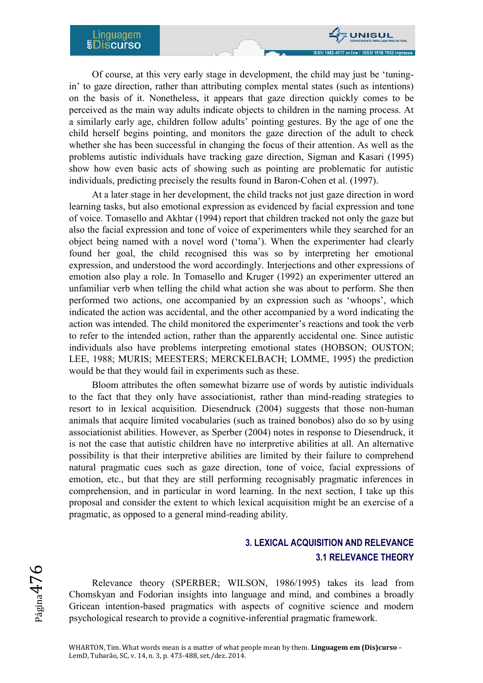

Of course, at this very early stage in development, the child may just be ‗tuningin' to gaze direction, rather than attributing complex mental states (such as intentions) on the basis of it. Nonetheless, it appears that gaze direction quickly comes to be perceived as the main way adults indicate objects to children in the naming process. At a similarly early age, children follow adults' pointing gestures. By the age of one the child herself begins pointing, and monitors the gaze direction of the adult to check whether she has been successful in changing the focus of their attention. As well as the problems autistic individuals have tracking gaze direction, Sigman and Kasari (1995) show how even basic acts of showing such as pointing are problematic for autistic individuals, predicting precisely the results found in Baron-Cohen et al. (1997).

At a later stage in her development, the child tracks not just gaze direction in word learning tasks, but also emotional expression as evidenced by facial expression and tone of voice. Tomasello and Akhtar (1994) report that children tracked not only the gaze but also the facial expression and tone of voice of experimenters while they searched for an object being named with a novel word ('toma'). When the experimenter had clearly found her goal, the child recognised this was so by interpreting her emotional expression, and understood the word accordingly. Interjections and other expressions of emotion also play a role. In Tomasello and Kruger (1992) an experimenter uttered an unfamiliar verb when telling the child what action she was about to perform. She then performed two actions, one accompanied by an expression such as 'whoops', which indicated the action was accidental, and the other accompanied by a word indicating the action was intended. The child monitored the experimenter's reactions and took the verb to refer to the intended action, rather than the apparently accidental one. Since autistic individuals also have problems interpreting emotional states (HOBSON; OUSTON; LEE, 1988; MURIS; MEESTERS; MERCKELBACH; LOMME, 1995) the prediction would be that they would fail in experiments such as these.

Bloom attributes the often somewhat bizarre use of words by autistic individuals to the fact that they only have associationist, rather than mind-reading strategies to resort to in lexical acquisition. Diesendruck (2004) suggests that those non-human animals that acquire limited vocabularies (such as trained bonobos) also do so by using associationist abilities. However, as Sperber (2004) notes in response to Diesendruck, it is not the case that autistic children have no interpretive abilities at all. An alternative possibility is that their interpretive abilities are limited by their failure to comprehend natural pragmatic cues such as gaze direction, tone of voice, facial expressions of emotion, etc., but that they are still performing recognisably pragmatic inferences in comprehension, and in particular in word learning. In the next section, I take up this proposal and consider the extent to which lexical acquisition might be an exercise of a pragmatic, as opposed to a general mind-reading ability.

## **3. LEXICAL ACQUISITION AND RELEVANCE 3.1 RELEVANCE THEORY**

**UNISUL** 

SSN 1982-4017 on line LISSN 1518-7632

Relevance theory (SPERBER; WIL<br>Chomskyan and Fodorian insights into lang<br>Gricean intention-based pragmatics with a<br>psychological research to provide a cognitive<br>WHARTON, Tim. What words mean is a matter of what p<br>LemD, Tub Relevance theory (SPERBER; WILSON, 1986/1995) takes its lead from Chomskyan and Fodorian insights into language and mind, and combines a broadly Gricean intention-based pragmatics with aspects of cognitive science and modern psychological research to provide a cognitive-inferential pragmatic framework.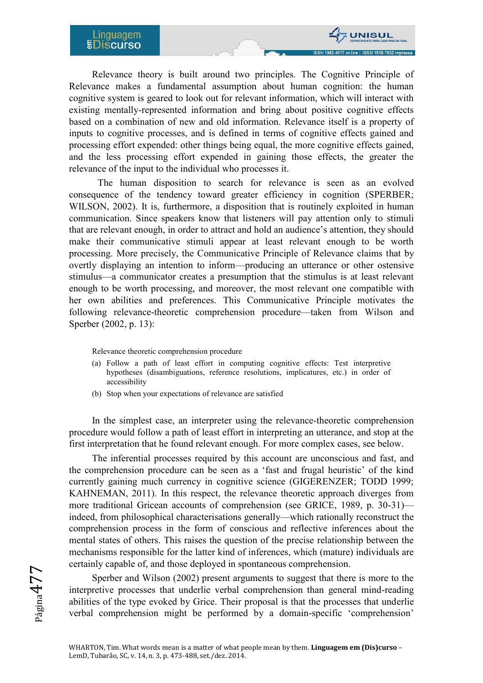

Relevance theory is built around two principles. The Cognitive Principle of Relevance makes a fundamental assumption about human cognition: the human cognitive system is geared to look out for relevant information, which will interact with existing mentally-represented information and bring about positive cognitive effects based on a combination of new and old information. Relevance itself is a property of inputs to cognitive processes, and is defined in terms of cognitive effects gained and processing effort expended: other things being equal, the more cognitive effects gained, and the less processing effort expended in gaining those effects, the greater the relevance of the input to the individual who processes it.

**UNISUL** 

The human disposition to search for relevance is seen as an evolved consequence of the tendency toward greater efficiency in cognition (SPERBER; WILSON, 2002). It is, furthermore, a disposition that is routinely exploited in human communication. Since speakers know that listeners will pay attention only to stimuli that are relevant enough, in order to attract and hold an audience's attention, they should make their communicative stimuli appear at least relevant enough to be worth processing. More precisely, the Communicative Principle of Relevance claims that by overtly displaying an intention to inform—producing an utterance or other ostensive stimulus—a communicator creates a presumption that the stimulus is at least relevant enough to be worth processing, and moreover, the most relevant one compatible with her own abilities and preferences. This Communicative Principle motivates the following relevance-theoretic comprehension procedure—taken from Wilson and Sperber (2002, p. 13):

Relevance theoretic comprehension procedure

- (a) Follow a path of least effort in computing cognitive effects: Test interpretive hypotheses (disambiguations, reference resolutions, implicatures, etc.) in order of accessibility
- (b) Stop when your expectations of relevance are satisfied

In the simplest case, an interpreter using the relevance-theoretic comprehension procedure would follow a path of least effort in interpreting an utterance, and stop at the first interpretation that he found relevant enough. For more complex cases, see below.

The inferential processes required by this account are unconscious and fast, and the comprehension procedure can be seen as a 'fast and frugal heuristic' of the kind currently gaining much currency in cognitive science (GIGERENZER; TODD 1999; KAHNEMAN, 2011). In this respect, the relevance theoretic approach diverges from more traditional Gricean accounts of comprehension (see GRICE, 1989, p. 30-31) indeed, from philosophical characterisations generally—which rationally reconstruct the comprehension process in the form of conscious and reflective inferences about the mental states of others. This raises the question of the precise relationship between the mechanisms responsible for the latter kind of inferences, which (mature) individuals are certainly capable of, and those deployed in spontaneous comprehension.

Sperber and Wilson (2002) present arg<br>
interpretive processes that underlie verbal c<br>
abilities of the type evoked by Grice. Their j<br>
verbal comprehension might be performed<br>
WHARTON, Tim. What words mean is a matter of wh Sperber and Wilson (2002) present arguments to suggest that there is more to the interpretive processes that underlie verbal comprehension than general mind-reading abilities of the type evoked by Grice. Their proposal is that the processes that underlie verbal comprehension might be performed by a domain-specific 'comprehension'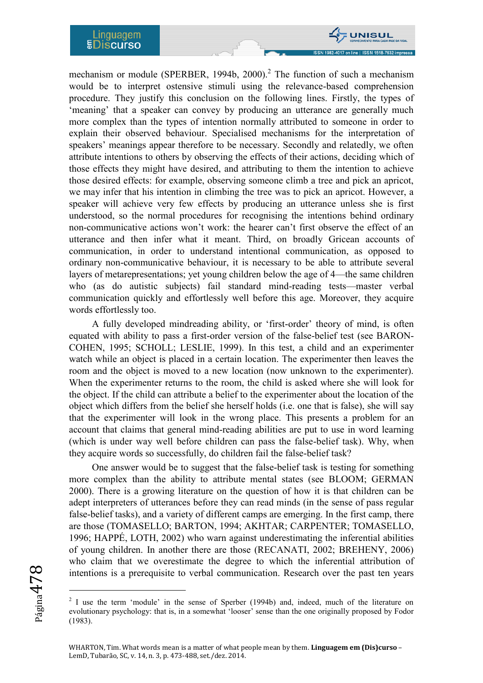

mechanism or module (SPERBER, 1994b, 2000).<sup>2</sup> The function of such a mechanism would be to interpret ostensive stimuli using the relevance-based comprehension procedure. They justify this conclusion on the following lines. Firstly, the types of ‗meaning' that a speaker can convey by producing an utterance are generally much more complex than the types of intention normally attributed to someone in order to explain their observed behaviour. Specialised mechanisms for the interpretation of speakers' meanings appear therefore to be necessary. Secondly and relatedly, we often attribute intentions to others by observing the effects of their actions, deciding which of those effects they might have desired, and attributing to them the intention to achieve those desired effects: for example, observing someone climb a tree and pick an apricot, we may infer that his intention in climbing the tree was to pick an apricot. However, a speaker will achieve very few effects by producing an utterance unless she is first understood, so the normal procedures for recognising the intentions behind ordinary non-communicative actions won't work: the hearer can't first observe the effect of an utterance and then infer what it meant. Third, on broadly Gricean accounts of communication, in order to understand intentional communication, as opposed to ordinary non-communicative behaviour, it is necessary to be able to attribute several layers of metarepresentations; yet young children below the age of 4—the same children who (as do autistic subjects) fail standard mind-reading tests—master verbal communication quickly and effortlessly well before this age. Moreover, they acquire words effortlessly too.

**UNISUL** 

A fully developed mindreading ability, or 'first-order' theory of mind, is often equated with ability to pass a first-order version of the false-belief test (see BARON-COHEN, 1995; SCHOLL; LESLIE, 1999). In this test, a child and an experimenter watch while an object is placed in a certain location. The experimenter then leaves the room and the object is moved to a new location (now unknown to the experimenter). When the experimenter returns to the room, the child is asked where she will look for the object. If the child can attribute a belief to the experimenter about the location of the object which differs from the belief she herself holds (i.e. one that is false), she will say that the experimenter will look in the wrong place. This presents a problem for an account that claims that general mind-reading abilities are put to use in word learning (which is under way well before children can pass the false-belief task). Why, when they acquire words so successfully, do children fail the false-belief task?

One answer would be to suggest that the false-belief task is testing for something more complex than the ability to attribute mental states (see BLOOM; GERMAN 2000). There is a growing literature on the question of how it is that children can be adept interpreters of utterances before they can read minds (in the sense of pass regular false-belief tasks), and a variety of different camps are emerging. In the first camp, there are those (TOMASELLO; BARTON, 1994; AKHTAR; CARPENTER; TOMASELLO, 1996; HAPPÉ, LOTH, 2002) who warn against underestimating the inferential abilities of young children. In another there are those (RECANATI, 2002; BREHENY, 2006) who claim that we overestimate the degree to which the inferential attribution of intentions is a prerequisite to verbal communication. Research over the past ten years

1

intentions is a prerequisite to verbal community<br>
The set of Sperber<br>
<sup>2</sup> I use the term 'module' in the sense of Sperber<br>
evolutionary psychology: that is, in a somewhat 'loose<br>
(1983).<br>
WHARTON, Tim. What words mean is a  $2$  I use the term 'module' in the sense of Sperber (1994b) and, indeed, much of the literature on evolutionary psychology: that is, in a somewhat 'looser' sense than the one originally proposed by Fodor (1983).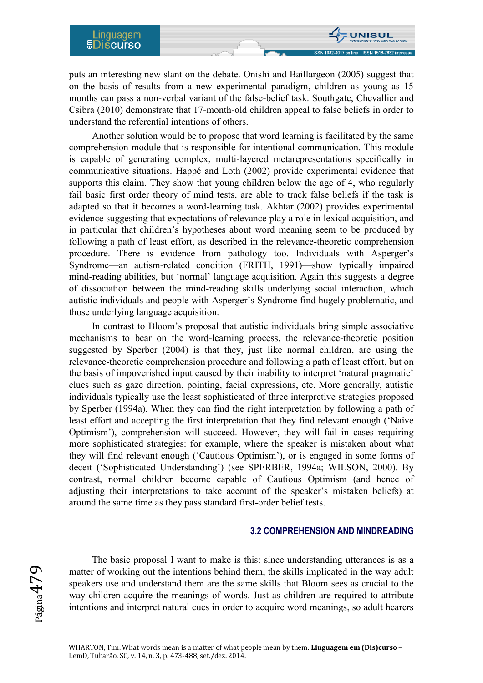

puts an interesting new slant on the debate. Onishi and Baillargeon (2005) suggest that on the basis of results from a new experimental paradigm, children as young as 15 months can pass a non-verbal variant of the false-belief task. Southgate, Chevallier and Csibra (2010) demonstrate that 17-month-old children appeal to false beliefs in order to understand the referential intentions of others.

Another solution would be to propose that word learning is facilitated by the same comprehension module that is responsible for intentional communication. This module is capable of generating complex, multi-layered metarepresentations specifically in communicative situations. Happé and Loth (2002) provide experimental evidence that supports this claim. They show that young children below the age of 4, who regularly fail basic first order theory of mind tests, are able to track false beliefs if the task is adapted so that it becomes a word-learning task. Akhtar (2002) provides experimental evidence suggesting that expectations of relevance play a role in lexical acquisition, and in particular that children's hypotheses about word meaning seem to be produced by following a path of least effort, as described in the relevance-theoretic comprehension procedure. There is evidence from pathology too. Individuals with Asperger's Syndrome—an autism-related condition (FRITH, 1991)—show typically impaired mind-reading abilities, but 'normal' language acquisition. Again this suggests a degree of dissociation between the mind-reading skills underlying social interaction, which autistic individuals and people with Asperger's Syndrome find hugely problematic, and those underlying language acquisition.

In contrast to Bloom's proposal that autistic individuals bring simple associative mechanisms to bear on the word-learning process, the relevance-theoretic position suggested by Sperber (2004) is that they, just like normal children, are using the relevance-theoretic comprehension procedure and following a path of least effort, but on the basis of impoverished input caused by their inability to interpret 'natural pragmatic' clues such as gaze direction, pointing, facial expressions, etc. More generally, autistic individuals typically use the least sophisticated of three interpretive strategies proposed by Sperber (1994a). When they can find the right interpretation by following a path of least effort and accepting the first interpretation that they find relevant enough ('Naive Optimism'), comprehension will succeed. However, they will fail in cases requiring more sophisticated strategies: for example, where the speaker is mistaken about what they will find relevant enough (‗Cautious Optimism'), or is engaged in some forms of deceit (‗Sophisticated Understanding') (see SPERBER, 1994a; WILSON, 2000). By contrast, normal children become capable of Cautious Optimism (and hence of adjusting their interpretations to take account of the speaker's mistaken beliefs) at around the same time as they pass standard first-order belief tests.

#### **3.2 COMPREHENSION AND MINDREADING**

**UNISUL** 

matter of working out the intentions behind t<br>speakers use and understand them are the sa<br>way children acquire the meanings of words<br>intentions and interpret natural cues in order<br>WHARTON, Tim. What words mean is a matter The basic proposal I want to make is this: since understanding utterances is as a matter of working out the intentions behind them, the skills implicated in the way adult speakers use and understand them are the same skills that Bloom sees as crucial to the way children acquire the meanings of words. Just as children are required to attribute intentions and interpret natural cues in order to acquire word meanings, so adult hearers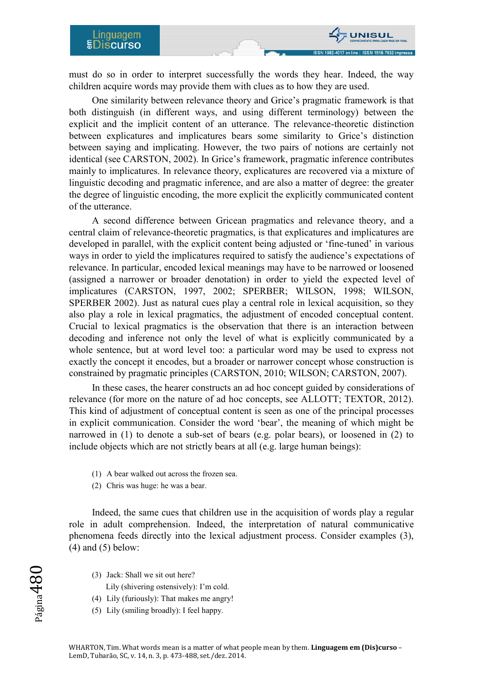

must do so in order to interpret successfully the words they hear. Indeed, the way children acquire words may provide them with clues as to how they are used.

One similarity between relevance theory and Grice's pragmatic framework is that both distinguish (in different ways, and using different terminology) between the explicit and the implicit content of an utterance. The relevance-theoretic distinction between explicatures and implicatures bears some similarity to Grice's distinction between saying and implicating. However, the two pairs of notions are certainly not identical (see CARSTON, 2002). In Grice's framework, pragmatic inference contributes mainly to implicatures. In relevance theory, explicatures are recovered via a mixture of linguistic decoding and pragmatic inference, and are also a matter of degree: the greater the degree of linguistic encoding, the more explicit the explicitly communicated content of the utterance.

A second difference between Gricean pragmatics and relevance theory, and a central claim of relevance-theoretic pragmatics, is that explicatures and implicatures are developed in parallel, with the explicit content being adjusted or 'fine-tuned' in various ways in order to yield the implicatures required to satisfy the audience's expectations of relevance. In particular, encoded lexical meanings may have to be narrowed or loosened (assigned a narrower or broader denotation) in order to yield the expected level of implicatures (CARSTON, 1997, 2002; SPERBER; WILSON, 1998; WILSON, SPERBER 2002). Just as natural cues play a central role in lexical acquisition, so they also play a role in lexical pragmatics, the adjustment of encoded conceptual content. Crucial to lexical pragmatics is the observation that there is an interaction between decoding and inference not only the level of what is explicitly communicated by a whole sentence, but at word level too: a particular word may be used to express not exactly the concept it encodes, but a broader or narrower concept whose construction is constrained by pragmatic principles (CARSTON, 2010; WILSON; CARSTON, 2007).

In these cases, the hearer constructs an ad hoc concept guided by considerations of relevance (for more on the nature of ad hoc concepts, see ALLOTT; TEXTOR, 2012). This kind of adjustment of conceptual content is seen as one of the principal processes in explicit communication. Consider the word 'bear', the meaning of which might be narrowed in (1) to denote a sub-set of bears (e.g. polar bears), or loosened in (2) to include objects which are not strictly bears at all (e.g. large human beings):

- (1) A bear walked out across the frozen sea.
- (2) Chris was huge: he was a bear.

Indeed, the same cues that children use in the acquisition of words play a regular role in adult comprehension. Indeed, the interpretation of natural communicative phenomena feeds directly into the lexical adjustment process. Consider examples (3),  $(4)$  and  $(5)$  below:

- (3) Jack: Shall we sit out here?
	- Lily (shivering ostensively): I'm cold.
- (4) Lily (furiously): That makes me angry!
- (5) Lily (smiling broadly): I feel happy.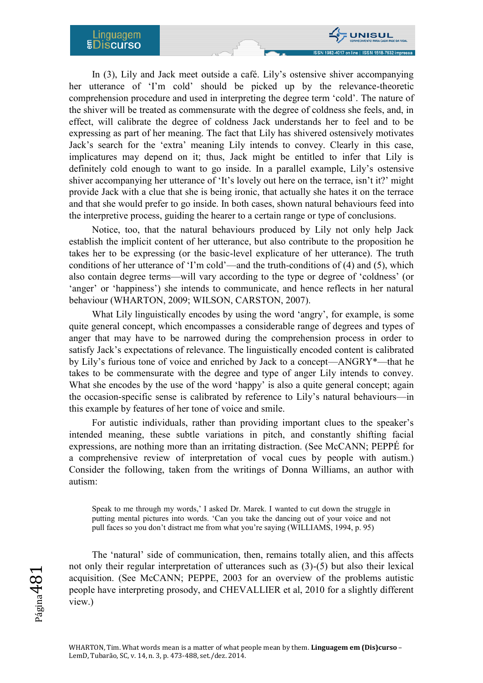

In (3), Lily and Jack meet outside a café. Lily's ostensive shiver accompanying her utterance of 'I'm cold' should be picked up by the relevance-theoretic comprehension procedure and used in interpreting the degree term 'cold'. The nature of the shiver will be treated as commensurate with the degree of coldness she feels, and, in effect, will calibrate the degree of coldness Jack understands her to feel and to be expressing as part of her meaning. The fact that Lily has shivered ostensively motivates Jack's search for the 'extra' meaning Lily intends to convey. Clearly in this case, implicatures may depend on it; thus, Jack might be entitled to infer that Lily is definitely cold enough to want to go inside. In a parallel example, Lily's ostensive shiver accompanying her utterance of 'It's lovely out here on the terrace, isn't it?' might provide Jack with a clue that she is being ironic, that actually she hates it on the terrace and that she would prefer to go inside. In both cases, shown natural behaviours feed into the interpretive process, guiding the hearer to a certain range or type of conclusions.

**UNISUL** 

Notice, too, that the natural behaviours produced by Lily not only help Jack establish the implicit content of her utterance, but also contribute to the proposition he takes her to be expressing (or the basic-level explicature of her utterance). The truth conditions of her utterance of 'I'm cold'—and the truth-conditions of  $(4)$  and  $(5)$ , which also contain degree terms—will vary according to the type or degree of ‗coldness' (or 'anger' or 'happiness') she intends to communicate, and hence reflects in her natural behaviour (WHARTON, 2009; WILSON, CARSTON, 2007).

What Lily linguistically encodes by using the word 'angry', for example, is some quite general concept, which encompasses a considerable range of degrees and types of anger that may have to be narrowed during the comprehension process in order to satisfy Jack's expectations of relevance. The linguistically encoded content is calibrated by Lily's furious tone of voice and enriched by Jack to a concept—ANGRY\*—that he takes to be commensurate with the degree and type of anger Lily intends to convey. What she encodes by the use of the word 'happy' is also a quite general concept; again the occasion-specific sense is calibrated by reference to Lily's natural behaviours—in this example by features of her tone of voice and smile.

For autistic individuals, rather than providing important clues to the speaker's intended meaning, these subtle variations in pitch, and constantly shifting facial expressions, are nothing more than an irritating distraction. (See McCANN; PEPPÉ for a comprehensive review of interpretation of vocal cues by people with autism.) Consider the following, taken from the writings of Donna Williams, an author with autism:

Speak to me through my words,' I asked Dr. Marek. I wanted to cut down the struggle in putting mental pictures into words. 'Can you take the dancing out of your voice and not pull faces so you don't distract me from what you're saying (WILLIAMS, 1994, p. 95)

not omy then regular interpretation of the radio acquisition. (See McCANN; PEPPE, 2003 people have interpreting prosody, and CHEV view.)<br>
we view.)<br>
WHARTON, Tim. What words mean is a matter of what p<br>
LemD, Tubarão, SC, v The 'natural' side of communication, then, remains totally alien, and this affects not only their regular interpretation of utterances such as (3)-(5) but also their lexical acquisition. (See McCANN; PEPPE, 2003 for an overview of the problems autistic people have interpreting prosody, and CHEVALLIER et al, 2010 for a slightly different view.)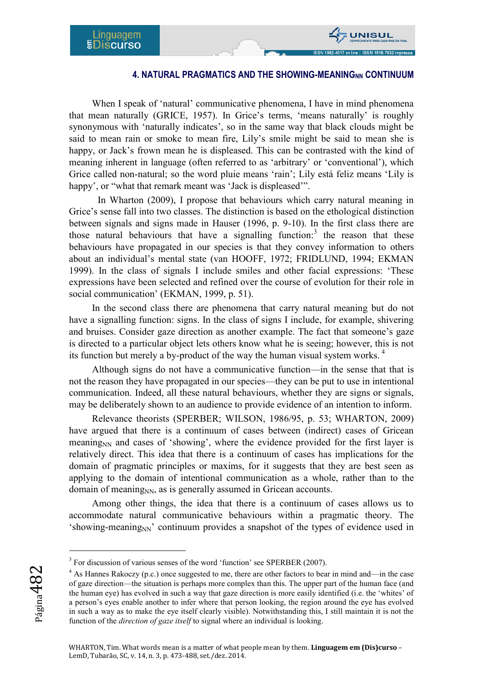## **4. NATURAL PRAGMATICS AND THE SHOWING-MEANINGNN CONTINUUM**

**UNISUL** 

When I speak of 'natural' communicative phenomena. I have in mind phenomena that mean naturally (GRICE, 1957). In Grice's terms, 'means naturally' is roughly synonymous with 'naturally indicates', so in the same way that black clouds might be said to mean rain or smoke to mean fire, Lily's smile might be said to mean she is happy, or Jack's frown mean he is displeased. This can be contrasted with the kind of meaning inherent in language (often referred to as 'arbitrary' or 'conventional'), which Grice called non-natural; so the word pluie means 'rain'; Lily está feliz means 'Lily is happy', or "what that remark meant was 'Jack is displeased'".

In Wharton (2009), I propose that behaviours which carry natural meaning in Grice's sense fall into two classes. The distinction is based on the ethological distinction between signals and signs made in Hauser (1996, p. 9-10). In the first class there are those natural behaviours that have a signalling function:<sup>3</sup> the reason that these behaviours have propagated in our species is that they convey information to others about an individual's mental state (van HOOFF, 1972; FRIDLUND, 1994; EKMAN 1999). In the class of signals I include smiles and other facial expressions: 'These expressions have been selected and refined over the course of evolution for their role in social communication' (EKMAN, 1999, p. 51).

In the second class there are phenomena that carry natural meaning but do not have a signalling function: signs. In the class of signs I include, for example, shivering and bruises. Consider gaze direction as another example. The fact that someone's gaze is directed to a particular object lets others know what he is seeing; however, this is not its function but merely a by-product of the way the human visual system works.<sup>4</sup>

Although signs do not have a communicative function—in the sense that that is not the reason they have propagated in our species—they can be put to use in intentional communication. Indeed, all these natural behaviours, whether they are signs or signals, may be deliberately shown to an audience to provide evidence of an intention to inform.

Relevance theorists (SPERBER; WILSON, 1986/95, p. 53; WHARTON, 2009) have argued that there is a continuum of cases between (indirect) cases of Gricean meaning<sub>NN</sub> and cases of 'showing', where the evidence provided for the first layer is relatively direct. This idea that there is a continuum of cases has implications for the domain of pragmatic principles or maxims, for it suggests that they are best seen as applying to the domain of intentional communication as a whole, rather than to the domain of meaning $_{NN}$ , as is generally assumed in Gricean accounts.

Among other things, the idea that there is a continuum of cases allows us to accommodate natural communicative behaviours within a pragmatic theory. The 'showing-meaning $_{NN}$ ' continuum provides a snapshot of the types of evidence used in

1

 $3$  For discussion of various senses of the word 'function' see SPERBER (2007).

<sup>&</sup>lt;sup>4</sup> As Hannes Rakoczy (p.c.) once suggested to me, then of gaze direction—the situation is perhaps more comp<br>the human eye) has evolved in such a way that gaze di<br>a person's eyes enable another to infer where that per<br>in <sup>4</sup> As Hannes Rakoczy (p.c.) once suggested to me, there are other factors to bear in mind and—in the case of gaze direction—the situation is perhaps more complex than this. The upper part of the human face (and the human eye) has evolved in such a way that gaze direction is more easily identified (i.e. the 'whites' of a person's eyes enable another to infer where that person looking, the region around the eye has evolved in such a way as to make the eye itself clearly visible). Notwithstanding this, I still maintain it is not the function of the *direction of gaze itself* to signal where an individual is looking.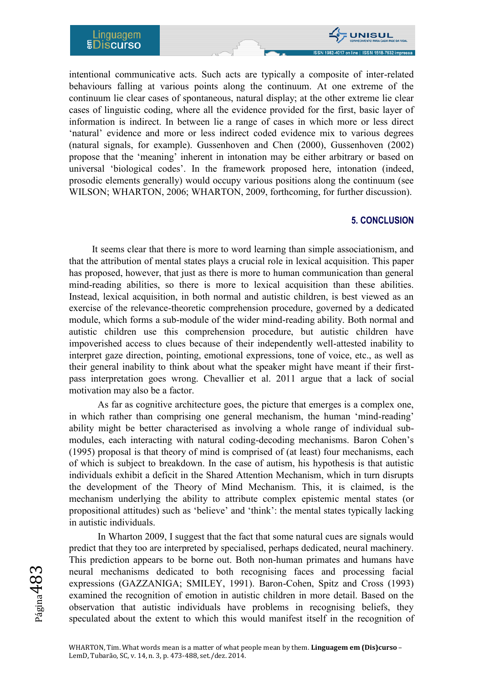

intentional communicative acts. Such acts are typically a composite of inter-related behaviours falling at various points along the continuum. At one extreme of the continuum lie clear cases of spontaneous, natural display; at the other extreme lie clear cases of linguistic coding, where all the evidence provided for the first, basic layer of information is indirect. In between lie a range of cases in which more or less direct ‗natural' evidence and more or less indirect coded evidence mix to various degrees (natural signals, for example). Gussenhoven and Chen (2000), Gussenhoven (2002) propose that the ‗meaning' inherent in intonation may be either arbitrary or based on universal ‗biological codes'. In the framework proposed here, intonation (indeed, prosodic elements generally) would occupy various positions along the continuum (see WILSON; WHARTON, 2006; WHARTON, 2009, forthcoming, for further discussion).

## **5. CONCLUSION**

**UNISUL** 

SSN 1982-4017 on line LISSN 1518-7632

It seems clear that there is more to word learning than simple associationism, and that the attribution of mental states plays a crucial role in lexical acquisition. This paper has proposed, however, that just as there is more to human communication than general mind-reading abilities, so there is more to lexical acquisition than these abilities. Instead, lexical acquisition, in both normal and autistic children, is best viewed as an exercise of the relevance-theoretic comprehension procedure, governed by a dedicated module, which forms a sub-module of the wider mind-reading ability. Both normal and autistic children use this comprehension procedure, but autistic children have impoverished access to clues because of their independently well-attested inability to interpret gaze direction, pointing, emotional expressions, tone of voice, etc., as well as their general inability to think about what the speaker might have meant if their firstpass interpretation goes wrong. Chevallier et al. 2011 argue that a lack of social motivation may also be a factor.

As far as cognitive architecture goes, the picture that emerges is a complex one, in which rather than comprising one general mechanism, the human 'mind-reading' ability might be better characterised as involving a whole range of individual submodules, each interacting with natural coding-decoding mechanisms. Baron Cohen's (1995) proposal is that theory of mind is comprised of (at least) four mechanisms, each of which is subject to breakdown. In the case of autism, his hypothesis is that autistic individuals exhibit a deficit in the Shared Attention Mechanism, which in turn disrupts the development of the Theory of Mind Mechanism. This, it is claimed, is the mechanism underlying the ability to attribute complex epistemic mental states (or propositional attitudes) such as ‗believe' and ‗think': the mental states typically lacking in autistic individuals.

neural mechanisms dedicated to both repressions (GAZZANIGA; SMILEY, 199 examined the recognition of emotion in autious observation that autistic individuals have speculated about the extent to which this well-<br>WHARTON, Tim In Wharton 2009, I suggest that the fact that some natural cues are signals would predict that they too are interpreted by specialised, perhaps dedicated, neural machinery. This prediction appears to be borne out. Both non-human primates and humans have neural mechanisms dedicated to both recognising faces and processing facial expressions (GAZZANIGA; SMILEY, 1991). Baron-Cohen, Spitz and Cross (1993) examined the recognition of emotion in autistic children in more detail. Based on the observation that autistic individuals have problems in recognising beliefs, they speculated about the extent to which this would manifest itself in the recognition of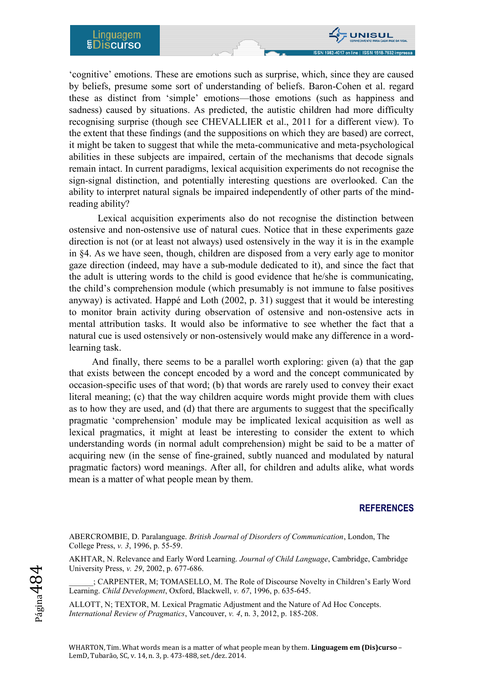

‗cognitive' emotions. These are emotions such as surprise, which, since they are caused by beliefs, presume some sort of understanding of beliefs. Baron-Cohen et al. regard these as distinct from 'simple' emotions—those emotions (such as happiness and sadness) caused by situations. As predicted, the autistic children had more difficulty recognising surprise (though see CHEVALLIER et al., 2011 for a different view). To the extent that these findings (and the suppositions on which they are based) are correct, it might be taken to suggest that while the meta-communicative and meta-psychological abilities in these subjects are impaired, certain of the mechanisms that decode signals remain intact. In current paradigms, lexical acquisition experiments do not recognise the sign-signal distinction, and potentially interesting questions are overlooked. Can the ability to interpret natural signals be impaired independently of other parts of the mindreading ability?

Lexical acquisition experiments also do not recognise the distinction between ostensive and non-ostensive use of natural cues. Notice that in these experiments gaze direction is not (or at least not always) used ostensively in the way it is in the example in §4. As we have seen, though, children are disposed from a very early age to monitor gaze direction (indeed, may have a sub-module dedicated to it), and since the fact that the adult is uttering words to the child is good evidence that he/she is communicating, the child's comprehension module (which presumably is not immune to false positives anyway) is activated. Happé and Loth (2002, p. 31) suggest that it would be interesting to monitor brain activity during observation of ostensive and non-ostensive acts in mental attribution tasks. It would also be informative to see whether the fact that a natural cue is used ostensively or non-ostensively would make any difference in a wordlearning task.

And finally, there seems to be a parallel worth exploring: given (a) that the gap that exists between the concept encoded by a word and the concept communicated by occasion-specific uses of that word; (b) that words are rarely used to convey their exact literal meaning; (c) that the way children acquire words might provide them with clues as to how they are used, and (d) that there are arguments to suggest that the specifically pragmatic ‗comprehension' module may be implicated lexical acquisition as well as lexical pragmatics, it might at least be interesting to consider the extent to which understanding words (in normal adult comprehension) might be said to be a matter of acquiring new (in the sense of fine-grained, subtly nuanced and modulated by natural pragmatic factors) word meanings. After all, for children and adults alike, what words mean is a matter of what people mean by them.

#### **REFERENCES**

**UNISUL** 

ABERCROMBIE, D. Paralanguage. *British Journal of Disorders of Communication*, London, The College Press, *v. 3*, 1996, p. 55-59.

AKHTAR, N. Relevance and Early Word Learning. *Journal of Child Language*, Cambridge, Cambridge University Press, *v. 29*, 2002, p. 677-686.

University Press, *v. 29*, 2002, p. 677-686.<br>
CO<br>
CO<br>
Contribution Control Control Control Control Certains Child Development, Oxford, Blackwell, *v. 6*<br>
ALLOTT, N; TEXTOR, M. Lexical Pragmatic Adjust<br> *International Revie* \_\_\_\_\_\_; CARPENTER, M; TOMASELLO, M. The Role of Discourse Novelty in Children's Early Word Learning. *Child Development*, Oxford, Blackwell, *v. 67*, 1996, p. 635-645.

ALLOTT, N; TEXTOR, M. Lexical Pragmatic Adjustment and the Nature of Ad Hoc Concepts. *International Review of Pragmatics*, Vancouver, *v. 4*, n. 3, 2012, p. 185-208.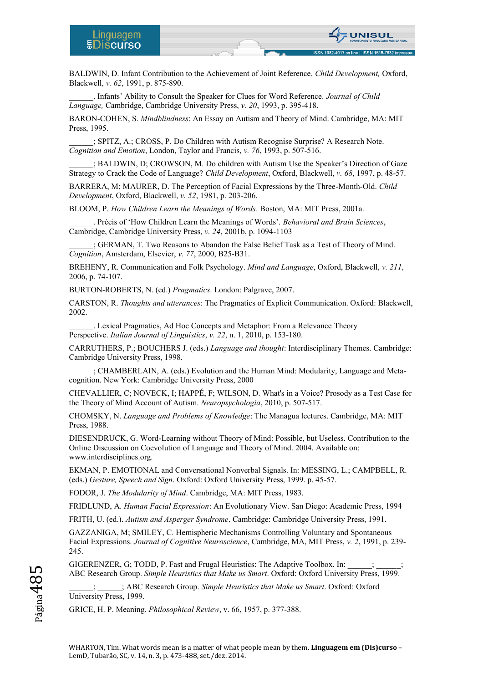

BALDWIN, D. Infant Contribution to the Achievement of Joint Reference. *Child Development,* Oxford, Blackwell, *v. 62*, 1991, p. 875-890.

**UNISUL** 

SSN 1982-4017 on line | ISSN 1518-7632

\_\_\_\_\_\_. Infants' Ability to Consult the Speaker for Clues for Word Reference. *Journal of Child Language,* Cambridge, Cambridge University Press, *v. 20*, 1993, p. 395-418.

BARON-COHEN, S. *Mindblindness*: An Essay on Autism and Theory of Mind. Cambridge, MA: MIT Press, 1995.

\_\_\_\_\_\_; SPITZ, A.; CROSS, P. Do Children with Autism Recognise Surprise? A Research Note. *Cognition and Emotion*, London, Taylor and Francis, *v. 76*, 1993, p. 507-516.

\_\_\_\_\_\_; BALDWIN, D; CROWSON, M. Do children with Autism Use the Speaker's Direction of Gaze Strategy to Crack the Code of Language? *Child Development*, Oxford, Blackwell, *v. 68*, 1997, p. 48-57.

BARRERA, M; MAURER, D. The Perception of Facial Expressions by the Three-Month-Old. *Child Development*, Oxford, Blackwell, *v. 52*, 1981, p. 203-206.

BLOOM, P. *How Children Learn the Meanings of Words*. Boston, MA: MIT Press, 2001a.

\_\_\_\_\_\_. Précis of ‗How Children Learn the Meanings of Words'. *Behavioral and Brain Sciences*, Cambridge, Cambridge University Press, *v. 24*, 2001b, p. 1094-1103

\_\_\_\_\_\_; GERMAN, T. Two Reasons to Abandon the False Belief Task as a Test of Theory of Mind. *Cognition*, Amsterdam, Elsevier, *v. 77*, 2000, B25-B31.

BREHENY, R. Communication and Folk Psychology. *Mind and Language*, Oxford, Blackwell, *v. 211*, 2006, p. 74-107.

BURTON-ROBERTS, N. (ed.) *Pragmatics*. London: Palgrave, 2007.

CARSTON, R. *Thoughts and utterances*: The Pragmatics of Explicit Communication. Oxford: Blackwell, 2002.

\_\_\_\_\_\_. Lexical Pragmatics, Ad Hoc Concepts and Metaphor: From a Relevance Theory Perspective. *Italian Journal of Linguistics*, *v. 22*, n. 1, 2010, p. 153-180.

CARRUTHERS, P.; BOUCHERS J. (eds.) *Language and thought*: Interdisciplinary Themes. Cambridge: Cambridge University Press, 1998.

\_\_\_\_\_\_; CHAMBERLAIN, A. (eds.) Evolution and the Human Mind: Modularity, Language and Metacognition. New York: Cambridge University Press, 2000

CHEVALLIER, C; NOVECK, I; HAPPÉ, F; WILSON, D. What's in a Voice? Prosody as a Test Case for the Theory of Mind Account of Autism. *Neuropsychologia*, 2010, p. 507-517.

CHOMSKY, N. *Language and Problems of Knowledge*: The Managua lectures. Cambridge, MA: MIT Press, 1988.

DIESENDRUCK, G. Word-Learning without Theory of Mind: Possible, but Useless. Contribution to the Online Discussion on Coevolution of Language and Theory of Mind. 2004. Available on: www.interdisciplines.org.

EKMAN, P. EMOTIONAL and Conversational Nonverbal Signals. In: MESSING, L.; CAMPBELL, R. (eds.) *Gesture, Speech and Sign*. Oxford: Oxford University Press, 1999. p. 45-57.

FODOR, J. *The Modularity of Mind*. Cambridge, MA: MIT Press, 1983.

FRIDLUND, A. *Human Facial Expression*: An Evolutionary View. San Diego: Academic Press, 1994

FRITH, U. (ed.). *Autism and Asperger Syndrome*. Cambridge: Cambridge University Press, 1991.

GAZZANIGA, M; SMILEY, C. Hemispheric Mechanisms Controlling Voluntary and Spontaneous Facial Expressions. *Journal of Cognitive Neuroscience*, Cambridge, MA, MIT Press, *v. 2*, 1991, p. 239- 245.

GIGERENZER, G: TODD, P. Fast and Frugal Heuristics: The Adaptive Toolbox. In: ABC Research Group. *Simple Heuristics that Make us Smart*. Oxford: Oxford University Press, 1999.

LA<br>
ABC Research Group. Simple Heuristics that Make us<br>
Thiversity Press, 1999.<br>
GRICE, H. P. Meaning. *Philosophical Review*, v. 66, 1<br>
WHARTON, Tim. What words mean is a matter of what p<br>
LemD, Tubarão, SC, v. 14, n. 3, \_\_\_\_\_\_; \_\_\_\_\_\_; ABC Research Group. *Simple Heuristics that Make us Smart*. Oxford: Oxford University Press, 1999.

GRICE, H. P. Meaning. *Philosophical Review*, v. 66, 1957, p. 377-388.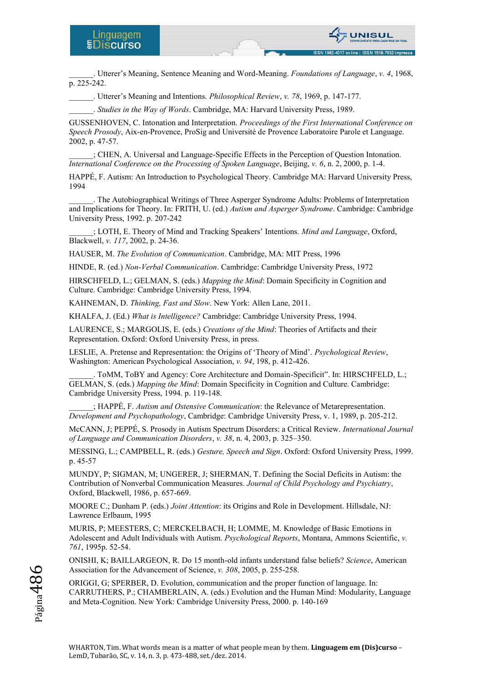

\_\_\_\_\_\_. Utterer's Meaning, Sentence Meaning and Word-Meaning. *Foundations of Language*, *v. 4*, 1968, p. 225-242.

\_\_\_\_\_\_. Utterer's Meaning and Intentions. *Philosophical Review*, *v. 78*, 1969, p. 147-177.

\_\_\_\_\_\_. *Studies in the Way of Words*. Cambridge, MA: Harvard University Press, 1989.

GUSSENHOVEN, C. Intonation and Interpretation. *Proceedings of the First International Conference on Speech Prosody*, Aix-en-Provence, ProSig and Université de Provence Laboratoire Parole et Language. 2002, p. 47-57.

\_\_\_\_\_\_; CHEN, A. Universal and Language-Specific Effects in the Perception of Question Intonation. *International Conference on the Processing of Spoken Language*, Beijing, *v. 6*, n. 2, 2000, p. 1-4.

HAPPÉ, F. Autism: An Introduction to Psychological Theory. Cambridge MA: Harvard University Press, 1994

\_\_\_\_\_\_. The Autobiographical Writings of Three Asperger Syndrome Adults: Problems of Interpretation and Implications for Theory. In: FRITH, U. (ed.) *Autism and Asperger Syndrome*. Cambridge: Cambridge University Press, 1992. p. 207-242

\_\_\_\_\_\_; LOTH, E. Theory of Mind and Tracking Speakers' Intentions. *Mind and Language*, Oxford, Blackwell, *v. 117*, 2002, p. 24-36.

HAUSER, M. *The Evolution of Communication*. Cambridge, MA: MIT Press, 1996

HINDE, R. (ed.) *Non-Verbal Communication*. Cambridge: Cambridge University Press, 1972

HIRSCHFELD, L.; GELMAN, S. (eds.) *Mapping the Mind*: Domain Specificity in Cognition and Culture. Cambridge: Cambridge University Press, 1994.

KAHNEMAN, D. *Thinking, Fast and Slow*. New York: Allen Lane, 2011.

KHALFA, J. (Ed.) *What is Intelligence?* Cambridge: Cambridge University Press, 1994.

LAURENCE, S.; MARGOLIS, E. (eds.) *Creations of the Mind*: Theories of Artifacts and their Representation. Oxford: Oxford University Press, in press.

LESLIE, A. Pretense and Representation: the Origins of ‗Theory of Mind'. *Psychological Review*, Washington: American Psychological Association, *v. 94*, 198, p. 412-426.

\_\_\_\_\_\_. ToMM, ToBY and Agency: Core Architecture and Domain-Specificit‖. In: HIRSCHFELD, L.; GELMAN, S. (eds.) *Mapping the Mind*: Domain Specificity in Cognition and Culture. Cambridge: Cambridge University Press, 1994. p. 119-148.

\_\_\_\_\_\_; HAPPÉ, F. *Autism and Ostensive Communication*: the Relevance of Metarepresentation. *Development and Psychopathology*, Cambridge: Cambridge University Press, v. 1, 1989, p. 205-212.

McCANN, J; PEPPÉ, S. Prosody in Autism Spectrum Disorders: a Critical Review. *International Journal of Language and Communication Disorders*, *v. 38*, n. 4, 2003, p. 325–350.

MESSING, L.; CAMPBELL, R. (eds.) *Gesture, Speech and Sign*. Oxford: Oxford University Press, 1999. p. 45-57

MUNDY, P; SIGMAN, M; UNGERER, J; SHERMAN, T. Defining the Social Deficits in Autism: the Contribution of Nonverbal Communication Measures. *Journal of Child Psychology and Psychiatry*, Oxford, Blackwell, 1986, p. 657-669.

MOORE C.; Dunham P. (eds.) *Joint Attention*: its Origins and Role in Development. Hillsdale, NJ: Lawrence Erlbaum, 1995

MURIS, P; MEESTERS, C; MERCKELBACH, H; LOMME, M. Knowledge of Basic Emotions in Adolescent and Adult Individuals with Autism. *Psychological Reports*, Montana, Ammons Scientific, *v. 761*, 1995p. 52-54.

ONISHI, K; BAILLARGEON, R. Do 15 month-old infants understand false beliefs? *Science*, American Association for the Advancement of Science, *v. 308*, 2005, p. 255-258.

Association for the Advancement of Science, v. 308, 2<br>
ORIGGI, G; SPERBER, D. Evolution, communication<br>
CARRUTHERS, P.; CHAMBERLAIN, A. (eds.) Evol<br>
and Meta-Cognition. New York: Cambridge Universit<br>
Aggregation of the Vie ORIGGI, G; SPERBER, D. Evolution, communication and the proper function of language. In: CARRUTHERS, P.; CHAMBERLAIN, A. (eds.) Evolution and the Human Mind: Modularity, Language and Meta-Cognition. New York: Cambridge University Press, 2000. p. 140-169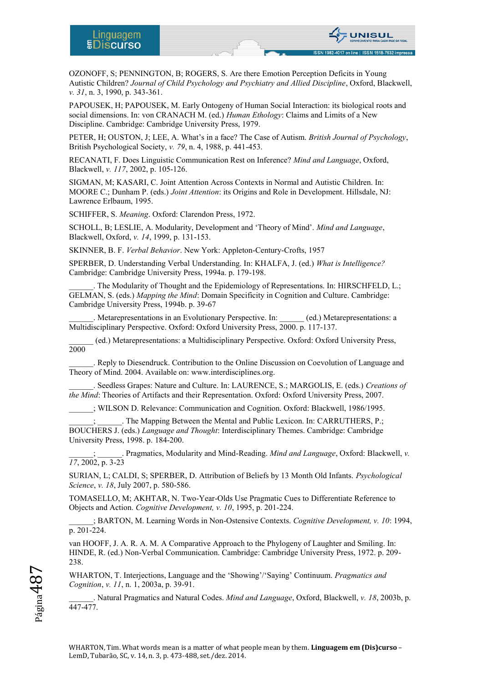

OZONOFF, S; PENNINGTON, B; ROGERS, S. Are there Emotion Perception Deficits in Young Autistic Children? *Journal of Child Psychology and Psychiatry and Allied Discipline*, Oxford, Blackwell, *v. 31*, n. 3, 1990, p. 343-361.

**UNISUL** 

ISSN 1982-4017 on line | ISSN 1518-7632

PAPOUSEK, H; PAPOUSEK, M. Early Ontogeny of Human Social Interaction: its biological roots and social dimensions. In: von CRANACH M. (ed.) *Human Ethology*: Claims and Limits of a New Discipline. Cambridge: Cambridge University Press, 1979.

PETER, H; OUSTON, J; LEE, A. What's in a face? The Case of Autism. *British Journal of Psychology*, British Psychological Society, *v. 79*, n. 4, 1988, p. 441-453.

RECANATI, F. Does Linguistic Communication Rest on Inference? *Mind and Language*, Oxford, Blackwell, *v. 117*, 2002, p. 105-126.

SIGMAN, M; KASARI, C. Joint Attention Across Contexts in Normal and Autistic Children. In: MOORE C.; Dunham P. (eds.) *Joint Attention*: its Origins and Role in Development. Hillsdale, NJ: Lawrence Erlbaum, 1995.

SCHIFFER, S. *Meaning*. Oxford: Clarendon Press, 1972.

SCHOLL, B; LESLIE, A. Modularity, Development and ‗Theory of Mind'. *Mind and Language*, Blackwell, Oxford, *v. 14*, 1999, p. 131-153.

SKINNER, B. F. *Verbal Behavior*. New York: Appleton-Century-Crofts, 1957

SPERBER, D. Understanding Verbal Understanding. In: KHALFA, J. (ed.) *What is Intelligence?* Cambridge: Cambridge University Press, 1994a. p. 179-198.

The Modularity of Thought and the Epidemiology of Representations. In: HIRSCHFELD, L.; GELMAN, S. (eds.) *Mapping the Mind*: Domain Specificity in Cognition and Culture. Cambridge: Cambridge University Press, 1994b. p. 39-67

Metarepresentations in an Evolutionary Perspective. In: (ed.) Metarepresentations: a Multidisciplinary Perspective. Oxford: Oxford University Press, 2000. p. 117-137.

\_\_\_\_\_\_ (ed.) Metarepresentations: a Multidisciplinary Perspective. Oxford: Oxford University Press, 2000

. Reply to Diesendruck. Contribution to the Online Discussion on Coevolution of Language and Theory of Mind. 2004. Available on: www.interdisciplines.org.

\_\_\_\_\_\_. Seedless Grapes: Nature and Culture. In: LAURENCE, S.; MARGOLIS, E. (eds.) *Creations of the Mind*: Theories of Artifacts and their Representation. Oxford: Oxford University Press, 2007.

\_\_\_\_\_\_; WILSON D. Relevance: Communication and Cognition. Oxford: Blackwell, 1986/1995.

The Mapping Between the Mental and Public Lexicon. In: CARRUTHERS, P.; BOUCHERS J. (eds.) *Language and Thought*: Interdisciplinary Themes. Cambridge: Cambridge University Press, 1998. p. 184-200.

Pragmatics, Modularity and Mind-Reading. *Mind and Language*, Oxford: Blackwell, *v. 17*, 2002, p. 3-23

SURIAN, L; CALDI, S; SPERBER, D. Attribution of Beliefs by 13 Month Old Infants. *Psychological Science*, *v. 18*, July 2007, p. 580-586.

TOMASELLO, M; AKHTAR, N. Two-Year-Olds Use Pragmatic Cues to Differentiate Reference to Objects and Action. *Cognitive Development, v. 10*, 1995, p. 201-224.

\_\_\_\_\_\_; BARTON, M. Learning Words in Non-Ostensive Contexts. *Cognitive Development, v. 10*: 1994, p. 201-224.

van HOOFF, J. A. R. A. M. A Comparative Approach to the Phylogeny of Laughter and Smiling. In: HINDE, R. (ed.) Non-Verbal Communication. Cambridge: Cambridge University Press, 1972. p. 209- 238.

WHARTON, T. Interjections, Language and the ‗Showing'/‗Saying' Continuum. *Pragmatics and Cognition*, *v. 11*, n. 1, 2003a, p. 39-91.

WHARTON, T. Interjections, Language and the 'Shov<br>Cognition, v. 11, n. 1, 2003a, p. 39-91.<br>Advanced Matural Pragmatics and Natural Codes. *Mind*<br>447-477.<br>WHARTON, Tim. What words mean is a matter of what p<br>LemD, Tubarão, S \_\_\_\_\_\_. Natural Pragmatics and Natural Codes. *Mind and Language*, Oxford, Blackwell, *v. 18*, 2003b, p. 447-477.